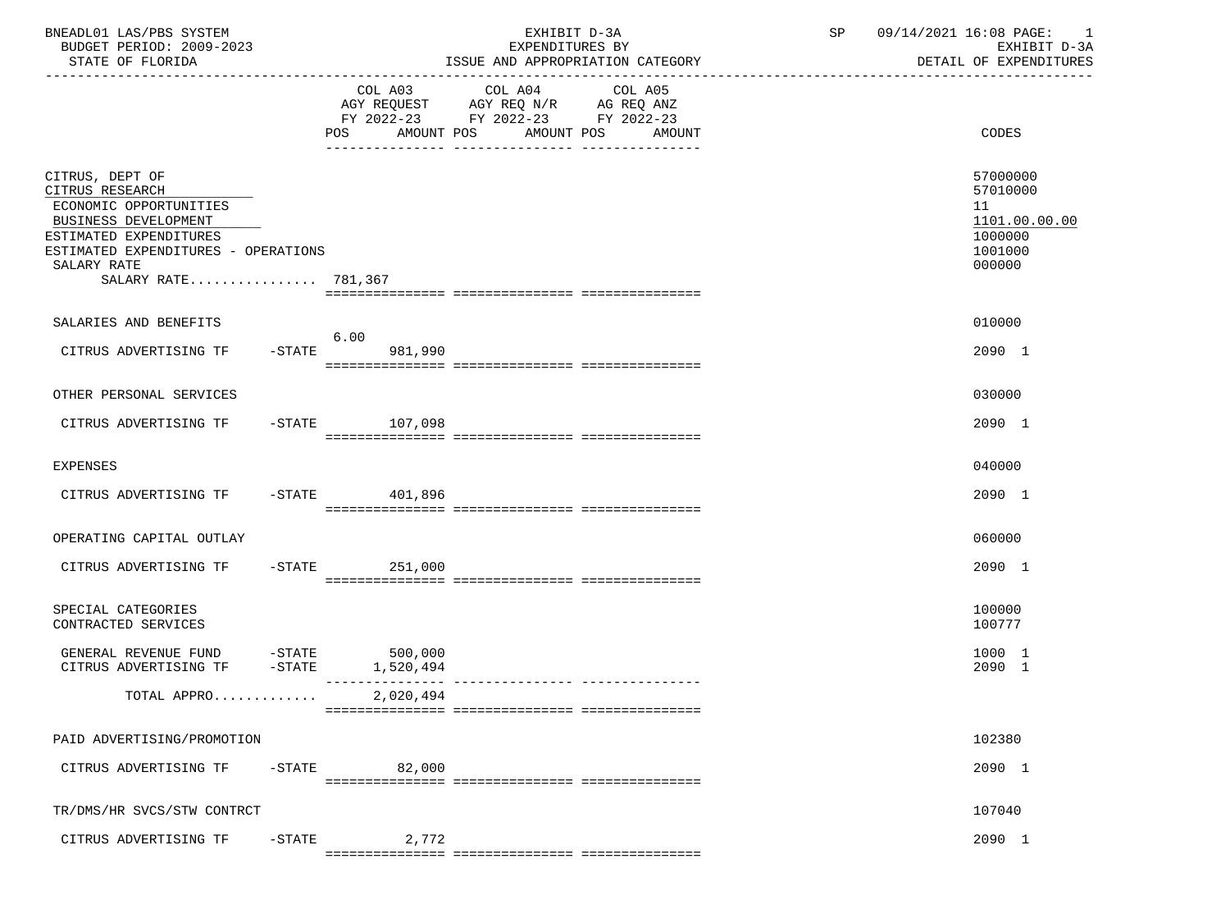| BNEADL01 LAS/PBS SYSTEM<br>BUDGET PERIOD: 2009-2023                                                            |                     | EXHIBIT D-3A<br>EXPENDITURES BY                                                                                                       | SP 09/14/2021 16:08 PAGE: 1<br>EXHIBIT D-3A            |
|----------------------------------------------------------------------------------------------------------------|---------------------|---------------------------------------------------------------------------------------------------------------------------------------|--------------------------------------------------------|
| STATE OF FLORIDA                                                                                               |                     | ISSUE AND APPROPRIATION CATEGORY                                                                                                      | DETAIL OF EXPENDITURES                                 |
|                                                                                                                |                     | COL A03 COL A04 COL A05<br>AGY REQUEST AGY REQ N/R AG REQ ANZ<br>FY 2022-23 FY 2022-23 FY 2022-23<br>POS AMOUNT POS AMOUNT POS AMOUNT | CODES                                                  |
| CITRUS, DEPT OF<br>CITRUS RESEARCH<br>ECONOMIC OPPORTUNITIES<br>BUSINESS DEVELOPMENT<br>ESTIMATED EXPENDITURES |                     |                                                                                                                                       | 57000000<br>57010000<br>11<br>1101.00.00.00<br>1000000 |
| ESTIMATED EXPENDITURES - OPERATIONS<br>SALARY RATE<br>SALARY RATE 781,367                                      |                     |                                                                                                                                       | 1001000<br>000000                                      |
| SALARIES AND BENEFITS                                                                                          | 6.00                |                                                                                                                                       | 010000                                                 |
| CITRUS ADVERTISING TF -STATE 981,990                                                                           |                     |                                                                                                                                       | 2090 1                                                 |
| OTHER PERSONAL SERVICES                                                                                        |                     |                                                                                                                                       | 030000                                                 |
| CITRUS ADVERTISING TF -STATE 107,098                                                                           |                     |                                                                                                                                       | 2090 1                                                 |
| <b>EXPENSES</b>                                                                                                |                     |                                                                                                                                       | 040000                                                 |
| CITRUS ADVERTISING TF -STATE 401,896                                                                           |                     |                                                                                                                                       | 2090 1                                                 |
| OPERATING CAPITAL OUTLAY                                                                                       |                     |                                                                                                                                       | 060000                                                 |
| CITRUS ADVERTISING TF -STATE 251,000                                                                           |                     |                                                                                                                                       | 2090 1                                                 |
| SPECIAL CATEGORIES<br>CONTRACTED SERVICES                                                                      |                     |                                                                                                                                       | 100000<br>100777                                       |
| GENERAL REVENUE FUND -STATE 500,000<br>CITRUS ADVERTISING TF -STATE 1,520,494                                  |                     |                                                                                                                                       | 1000 1<br>2090 1                                       |
| TOTAL APPRO                                                                                                    | 2,020,494           |                                                                                                                                       |                                                        |
| PAID ADVERTISING/PROMOTION                                                                                     |                     |                                                                                                                                       | 102380                                                 |
| CITRUS ADVERTISING TF                                                                                          | 82,000<br>$-$ STATE |                                                                                                                                       | 2090 1                                                 |
| TR/DMS/HR SVCS/STW CONTRCT                                                                                     |                     |                                                                                                                                       | 107040                                                 |
| CITRUS ADVERTISING TF                                                                                          | $-$ STATE<br>2,772  |                                                                                                                                       | 2090 1                                                 |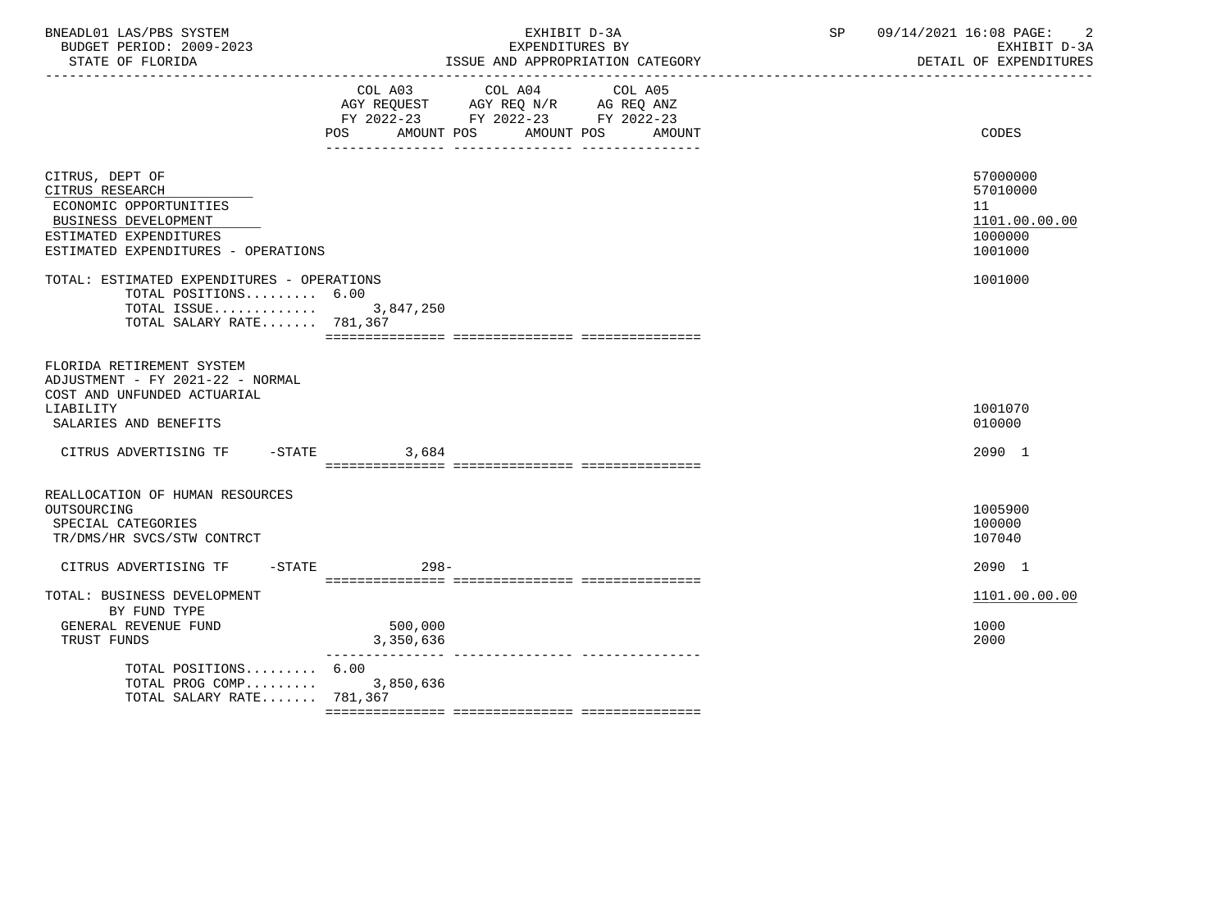| BNEADL01 LAS/PBS SYSTEM<br>BUDGET PERIOD: 2009-2023<br>STATE OF FLORIDA<br>----------------                                                           | EXHIBIT D-3A<br>EXPENDITURES BY<br>ISSUE AND APPROPRIATION CATEGORY                                                                            | 09/14/2021 16:08 PAGE:<br>$\overline{\phantom{a}}$<br>SP<br>EXHIBIT D-3A<br>DETAIL OF EXPENDITURES |
|-------------------------------------------------------------------------------------------------------------------------------------------------------|------------------------------------------------------------------------------------------------------------------------------------------------|----------------------------------------------------------------------------------------------------|
|                                                                                                                                                       | COL A03 COL A04<br>COL A05<br>AGY REQUEST AGY REQ N/R AG REQ ANZ<br>FY 2022-23 FY 2022-23 FY 2022-23<br>POS AMOUNT POS<br>AMOUNT POS<br>AMOUNT | CODES                                                                                              |
| CITRUS, DEPT OF<br>CITRUS RESEARCH<br>ECONOMIC OPPORTUNITIES<br>BUSINESS DEVELOPMENT<br>ESTIMATED EXPENDITURES<br>ESTIMATED EXPENDITURES - OPERATIONS |                                                                                                                                                | 57000000<br>57010000<br>11<br>1101.00.00.00<br>1000000<br>1001000                                  |
| TOTAL: ESTIMATED EXPENDITURES - OPERATIONS<br>TOTAL POSITIONS 6.00<br>TOTAL ISSUE 3,847,250<br>TOTAL SALARY RATE 781,367                              |                                                                                                                                                | 1001000                                                                                            |
| FLORIDA RETIREMENT SYSTEM<br>ADJUSTMENT - FY 2021-22 - NORMAL<br>COST AND UNFUNDED ACTUARIAL<br>LIABILITY<br>SALARIES AND BENEFITS                    |                                                                                                                                                | 1001070<br>010000                                                                                  |
| CITRUS ADVERTISING TF                                                                                                                                 | $-STATE$ 3,684                                                                                                                                 | 2090 1                                                                                             |
| REALLOCATION OF HUMAN RESOURCES<br>OUTSOURCING<br>SPECIAL CATEGORIES<br>TR/DMS/HR SVCS/STW CONTRCT                                                    |                                                                                                                                                | 1005900<br>100000<br>107040                                                                        |
| CITRUS ADVERTISING TF -STATE 498-                                                                                                                     |                                                                                                                                                | 2090 1                                                                                             |
| TOTAL: BUSINESS DEVELOPMENT<br>BY FUND TYPE<br>GENERAL REVENUE FUND<br>TRUST FUNDS                                                                    | 500,000<br>3,350,636                                                                                                                           | 1101.00.00.00<br>1000<br>2000                                                                      |
| TOTAL POSITIONS $6.00$<br>TOTAL PROG COMP<br>TOTAL SALARY RATE $781.367$                                                                              | 3,850,636                                                                                                                                      |                                                                                                    |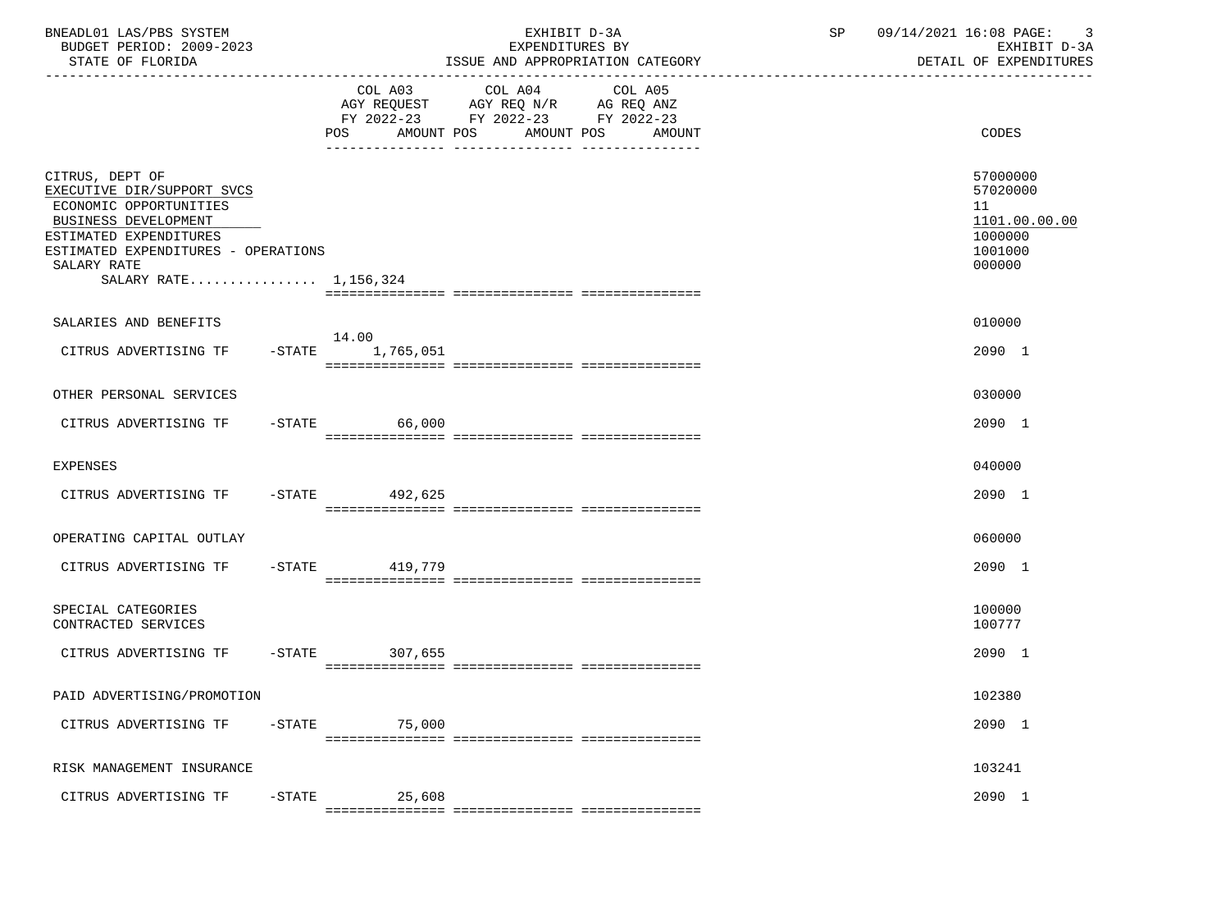| BNEADL01 LAS/PBS SYSTEM<br>BUDGET PERIOD: 2009-2023<br>STATE OF FLORIDA                                                                                                                                  |                     | EXHIBIT D-3A<br>EXPENDITURES BY<br>ISSUE AND APPROPRIATION CATEGORY                                                                      | SP<br>--------------------------------- | 09/14/2021 16:08 PAGE: 3<br>EXHIBIT D-3A<br>DETAIL OF EXPENDITURES          |  |  |
|----------------------------------------------------------------------------------------------------------------------------------------------------------------------------------------------------------|---------------------|------------------------------------------------------------------------------------------------------------------------------------------|-----------------------------------------|-----------------------------------------------------------------------------|--|--|
|                                                                                                                                                                                                          |                     | COL A03 COL A04<br>COL A05<br>AGY REQUEST AGY REQ N/R AG REQ ANZ<br>FY 2022-23 FY 2022-23 FY 2022-23<br>POS AMOUNT POS AMOUNT POS AMOUNT |                                         | CODES                                                                       |  |  |
| CITRUS, DEPT OF<br>EXECUTIVE DIR/SUPPORT SVCS<br>ECONOMIC OPPORTUNITIES<br>BUSINESS DEVELOPMENT<br>ESTIMATED EXPENDITURES<br>ESTIMATED EXPENDITURES - OPERATIONS<br>SALARY RATE<br>SALARY RATE 1,156,324 |                     |                                                                                                                                          |                                         | 57000000<br>57020000<br>11<br>1101.00.00.00<br>1000000<br>1001000<br>000000 |  |  |
| SALARIES AND BENEFITS<br>CITRUS ADVERTISING TF -STATE 1,765,051                                                                                                                                          | 14.00               |                                                                                                                                          |                                         | 010000<br>2090 1                                                            |  |  |
| OTHER PERSONAL SERVICES                                                                                                                                                                                  |                     |                                                                                                                                          |                                         | 030000                                                                      |  |  |
| CITRUS ADVERTISING TF -STATE 66,000                                                                                                                                                                      |                     |                                                                                                                                          |                                         | 2090 1                                                                      |  |  |
| <b>EXPENSES</b>                                                                                                                                                                                          |                     |                                                                                                                                          |                                         | 040000                                                                      |  |  |
| CITRUS ADVERTISING TF -STATE 492,625                                                                                                                                                                     |                     |                                                                                                                                          |                                         | 2090 1                                                                      |  |  |
| OPERATING CAPITAL OUTLAY                                                                                                                                                                                 |                     |                                                                                                                                          |                                         | 060000                                                                      |  |  |
| CITRUS ADVERTISING TF -STATE 419,779                                                                                                                                                                     |                     |                                                                                                                                          |                                         | 2090 1                                                                      |  |  |
| SPECIAL CATEGORIES<br>CONTRACTED SERVICES                                                                                                                                                                |                     |                                                                                                                                          |                                         | 100000<br>100777                                                            |  |  |
| CITRUS ADVERTISING TF -STATE 307,655                                                                                                                                                                     |                     |                                                                                                                                          |                                         | 2090 1                                                                      |  |  |
| PAID ADVERTISING/PROMOTION                                                                                                                                                                               |                     |                                                                                                                                          |                                         | 102380                                                                      |  |  |
| CITRUS ADVERTISING TF                                                                                                                                                                                    | $-$ STATE<br>75,000 |                                                                                                                                          |                                         | 2090 1                                                                      |  |  |
| RISK MANAGEMENT INSURANCE                                                                                                                                                                                |                     |                                                                                                                                          |                                         | 103241                                                                      |  |  |
| CITRUS ADVERTISING TF                                                                                                                                                                                    | $-STATE$<br>25,608  |                                                                                                                                          |                                         | 2090 1                                                                      |  |  |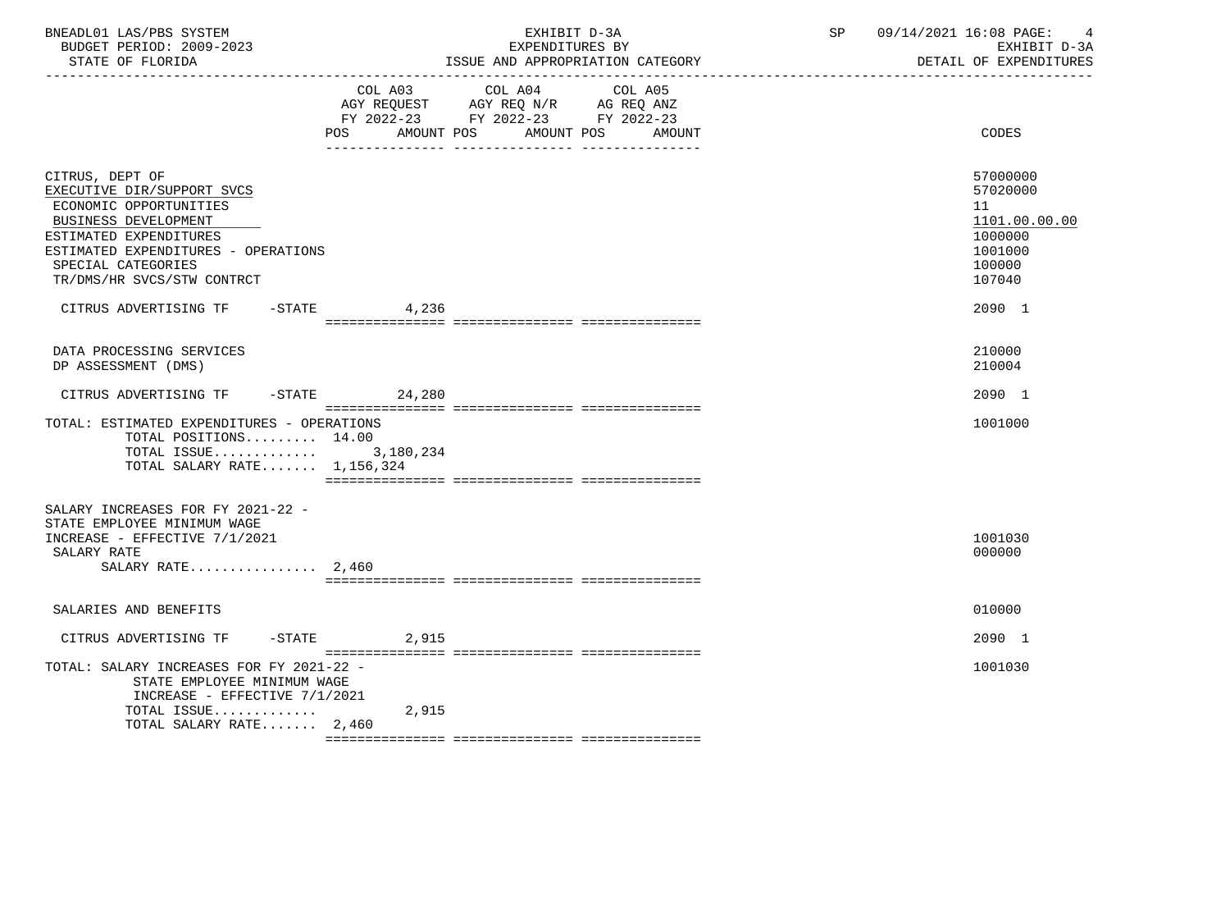| BNEADL01 LAS/PBS SYSTEM<br>BUDGET PERIOD: 2009-2023<br>STATE OF FLORIDA                                                                                                                                              |                          | EXHIBIT D-3A<br>EXPENDITURES BY<br>ISSUE AND APPROPRIATION CATEGORY                                                       | SP | 09/14/2021 16:08 PAGE:<br>4<br>EXHIBIT D-3A<br>DETAIL OF EXPENDITURES                 |
|----------------------------------------------------------------------------------------------------------------------------------------------------------------------------------------------------------------------|--------------------------|---------------------------------------------------------------------------------------------------------------------------|----|---------------------------------------------------------------------------------------|
|                                                                                                                                                                                                                      | <b>POS</b><br>AMOUNT POS | COL A03 COL A04 COL A05<br>AGY REQUEST AGY REQ N/R AG REQ ANZ<br>FY 2022-23 FY 2022-23 FY 2022-23<br>AMOUNT POS<br>AMOUNT |    | CODES                                                                                 |
| CITRUS, DEPT OF<br>EXECUTIVE DIR/SUPPORT SVCS<br>ECONOMIC OPPORTUNITIES<br>BUSINESS DEVELOPMENT<br>ESTIMATED EXPENDITURES<br>ESTIMATED EXPENDITURES - OPERATIONS<br>SPECIAL CATEGORIES<br>TR/DMS/HR SVCS/STW CONTRCT |                          |                                                                                                                           |    | 57000000<br>57020000<br>11<br>1101.00.00.00<br>1000000<br>1001000<br>100000<br>107040 |
| CITRUS ADVERTISING TF                                                                                                                                                                                                | $-$ STATE 4, 236         |                                                                                                                           |    | 2090 1                                                                                |
| DATA PROCESSING SERVICES<br>DP ASSESSMENT (DMS)                                                                                                                                                                      |                          |                                                                                                                           |    | 210000<br>210004                                                                      |
| CITRUS ADVERTISING TF                                                                                                                                                                                                | $-STATE$ 24,280          |                                                                                                                           |    | 2090 1                                                                                |
| TOTAL: ESTIMATED EXPENDITURES - OPERATIONS<br>TOTAL POSITIONS 14.00<br>TOTAL ISSUE $3,180,234$<br>TOTAL SALARY RATE 1,156,324                                                                                        |                          |                                                                                                                           |    | 1001000                                                                               |
| SALARY INCREASES FOR FY 2021-22 -<br>STATE EMPLOYEE MINIMUM WAGE<br>INCREASE - EFFECTIVE 7/1/2021<br>SALARY RATE<br>SALARY RATE $2,460$                                                                              |                          |                                                                                                                           |    | 1001030<br>000000                                                                     |
| SALARIES AND BENEFITS                                                                                                                                                                                                |                          |                                                                                                                           |    | 010000                                                                                |
| CITRUS ADVERTISING TF                                                                                                                                                                                                | $-STATE$<br>2,915        |                                                                                                                           |    | 2090 1                                                                                |
| TOTAL: SALARY INCREASES FOR FY 2021-22 -<br>STATE EMPLOYEE MINIMUM WAGE<br>INCREASE - EFFECTIVE 7/1/2021                                                                                                             |                          |                                                                                                                           |    | 1001030                                                                               |
| TOTAL ISSUE<br>TOTAL SALARY RATE 2,460                                                                                                                                                                               | 2,915                    |                                                                                                                           |    |                                                                                       |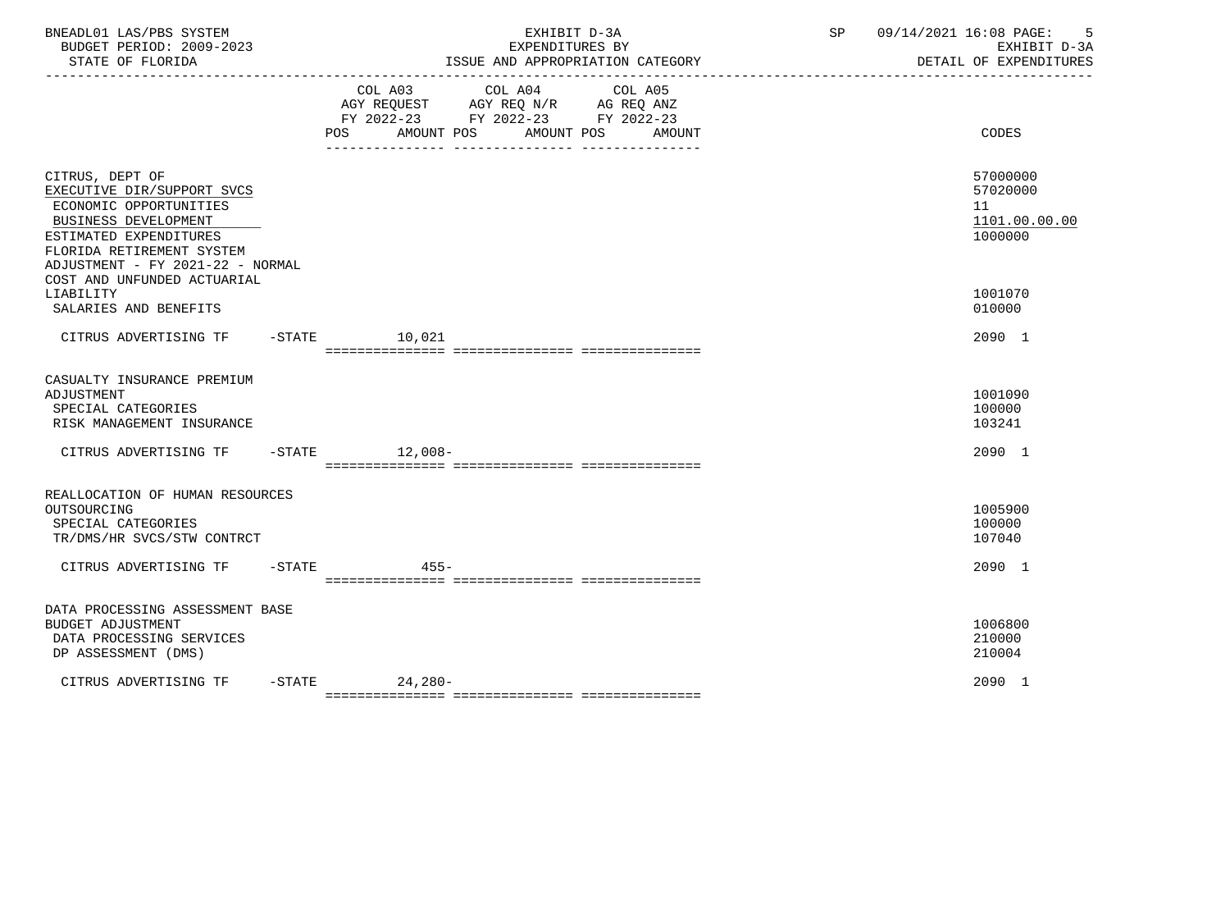| BNEADL01 LAS/PBS SYSTEM<br>BUDGET PERIOD: 2009-2023<br>STATE OF FLORIDA                                                                                                                                                   |           |                                                                                                                           | EXHIBIT D-3A<br>EXPENDITURES BY<br>ISSUE AND APPROPRIATION CATEGORY | SP | 09/14/2021 16:08 PAGE:<br>-5<br>EXHIBIT D-3A<br>DETAIL OF EXPENDITURES |
|---------------------------------------------------------------------------------------------------------------------------------------------------------------------------------------------------------------------------|-----------|---------------------------------------------------------------------------------------------------------------------------|---------------------------------------------------------------------|----|------------------------------------------------------------------------|
|                                                                                                                                                                                                                           |           | COL A03<br>COL A04<br>AGY REQUEST AGY REQ N/R AG REQ ANZ<br>FY 2022-23 FY 2022-23 FY 2022-23<br>POS AMOUNT POS AMOUNT POS | COL A05<br>AMOUNT                                                   |    | CODES                                                                  |
| CITRUS, DEPT OF<br>EXECUTIVE DIR/SUPPORT SVCS<br>ECONOMIC OPPORTUNITIES<br>BUSINESS DEVELOPMENT<br>ESTIMATED EXPENDITURES<br>FLORIDA RETIREMENT SYSTEM<br>ADJUSTMENT - FY 2021-22 - NORMAL<br>COST AND UNFUNDED ACTUARIAL |           |                                                                                                                           |                                                                     |    | 57000000<br>57020000<br>11<br>1101.00.00.00<br>1000000                 |
| LIABILITY<br>SALARIES AND BENEFITS                                                                                                                                                                                        |           |                                                                                                                           |                                                                     |    | 1001070<br>010000                                                      |
| CITRUS ADVERTISING TF                                                                                                                                                                                                     |           | -STATE 10,021                                                                                                             |                                                                     |    | 2090 1                                                                 |
| CASUALTY INSURANCE PREMIUM<br>ADJUSTMENT<br>SPECIAL CATEGORIES<br>RISK MANAGEMENT INSURANCE                                                                                                                               |           |                                                                                                                           |                                                                     |    | 1001090<br>100000<br>103241                                            |
| CITRUS ADVERTISING TF                                                                                                                                                                                                     |           | $-$ STATE $12,008-$                                                                                                       |                                                                     |    | 2090 1                                                                 |
| REALLOCATION OF HUMAN RESOURCES<br>OUTSOURCING<br>SPECIAL CATEGORIES<br>TR/DMS/HR SVCS/STW CONTRCT                                                                                                                        |           |                                                                                                                           |                                                                     |    | 1005900<br>100000<br>107040                                            |
| CITRUS ADVERTISING TF                                                                                                                                                                                                     | $-$ STATE | $455 -$                                                                                                                   |                                                                     |    | 2090 1                                                                 |
| DATA PROCESSING ASSESSMENT BASE<br><b>BUDGET ADJUSTMENT</b><br>DATA PROCESSING SERVICES<br>DP ASSESSMENT (DMS)                                                                                                            |           |                                                                                                                           |                                                                     |    | 1006800<br>210000<br>210004                                            |
| CITRUS ADVERTISING TF                                                                                                                                                                                                     |           | $-STATE$ 24, 280-                                                                                                         |                                                                     |    | 2090 1                                                                 |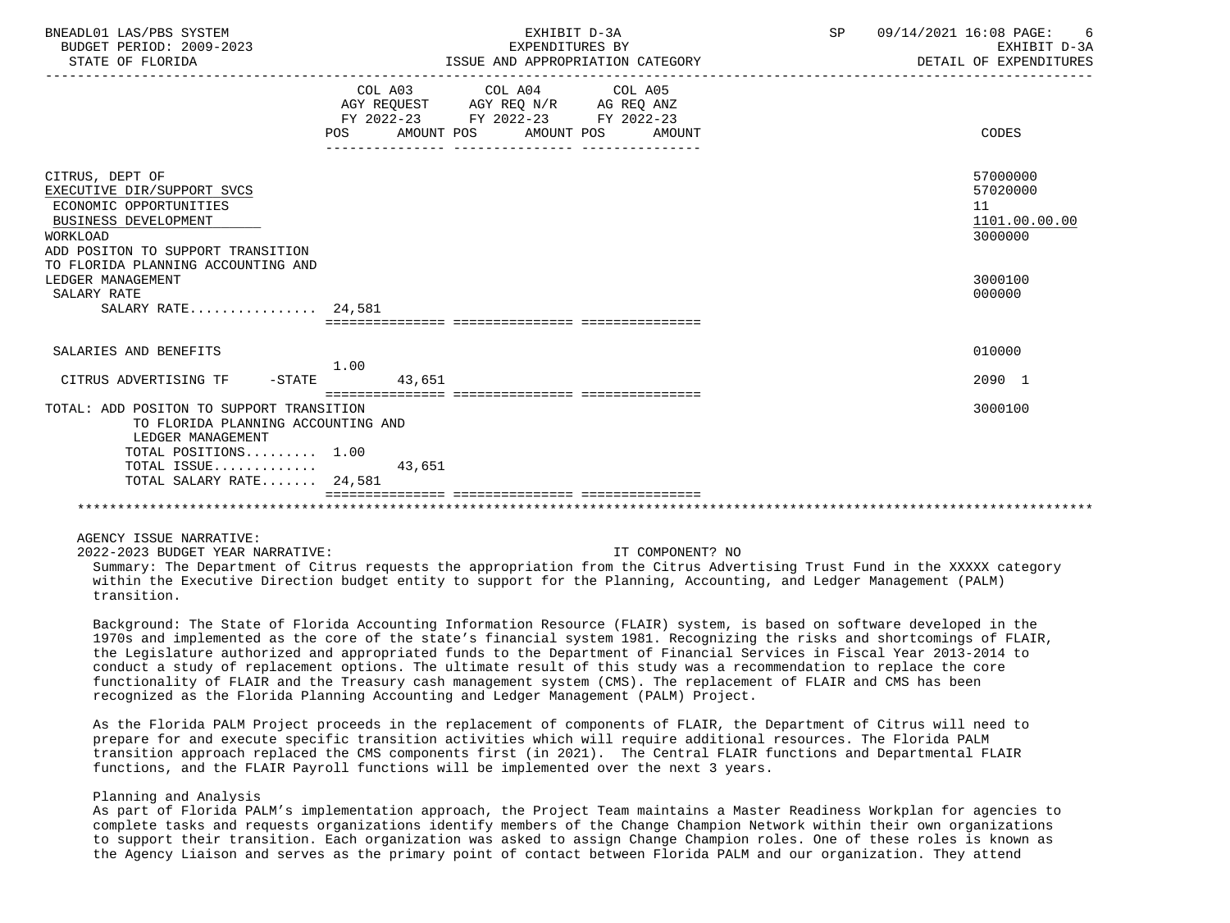| BNEADL01 LAS/PBS SYSTEM<br>BUDGET PERIOD: 2009-2023<br>STATE OF FLORIDA                                                                                                | EXHIBIT D-3A<br>EXPENDITURES BY<br>ISSUE AND APPROPRIATION CATEGORY                                                                   | 09/14/2021 16:08 PAGE: 6<br>SP<br>EXHIBIT D-3A<br>DETAIL OF EXPENDITURES |
|------------------------------------------------------------------------------------------------------------------------------------------------------------------------|---------------------------------------------------------------------------------------------------------------------------------------|--------------------------------------------------------------------------|
|                                                                                                                                                                        | COL A03 COL A04 COL A05<br>AGY REQUEST AGY REQ N/R AG REQ ANZ<br>FY 2022-23 FY 2022-23 FY 2022-23<br>POS AMOUNT POS AMOUNT POS AMOUNT | CODES                                                                    |
| CITRUS, DEPT OF<br>EXECUTIVE DIR/SUPPORT SVCS<br>ECONOMIC OPPORTUNITIES<br>BUSINESS DEVELOPMENT<br><b>WORKLOAD</b><br>ADD POSITON TO SUPPORT TRANSITION                |                                                                                                                                       | 57000000<br>57020000<br>11<br>1101.00.00.00<br>3000000                   |
| TO FLORIDA PLANNING ACCOUNTING AND<br>LEDGER MANAGEMENT<br>SALARY RATE<br>SALARY RATE 24,581                                                                           |                                                                                                                                       | 3000100<br>000000                                                        |
| SALARIES AND BENEFITS                                                                                                                                                  |                                                                                                                                       | 010000                                                                   |
| $-STATE$<br>CITRUS ADVERTISING TF                                                                                                                                      | 1.00<br>43,651                                                                                                                        | 2090 1                                                                   |
| TOTAL: ADD POSITON TO SUPPORT TRANSITION<br>TO FLORIDA PLANNING ACCOUNTING AND<br>LEDGER MANAGEMENT<br>TOTAL POSITIONS 1.00<br>TOTAL ISSUE<br>TOTAL SALARY RATE 24,581 | 43,651                                                                                                                                | 3000100                                                                  |
|                                                                                                                                                                        |                                                                                                                                       |                                                                          |

AGENCY ISSUE NARRATIVE:

2022-2023 BUDGET YEAR NARRATIVE: IT COMPONENT? NO

 Summary: The Department of Citrus requests the appropriation from the Citrus Advertising Trust Fund in the XXXXX category within the Executive Direction budget entity to support for the Planning, Accounting, and Ledger Management (PALM) transition.

 Background: The State of Florida Accounting Information Resource (FLAIR) system, is based on software developed in the 1970s and implemented as the core of the state's financial system 1981. Recognizing the risks and shortcomings of FLAIR, the Legislature authorized and appropriated funds to the Department of Financial Services in Fiscal Year 2013-2014 to conduct a study of replacement options. The ultimate result of this study was a recommendation to replace the core functionality of FLAIR and the Treasury cash management system (CMS). The replacement of FLAIR and CMS has been recognized as the Florida Planning Accounting and Ledger Management (PALM) Project.

 As the Florida PALM Project proceeds in the replacement of components of FLAIR, the Department of Citrus will need to prepare for and execute specific transition activities which will require additional resources. The Florida PALM transition approach replaced the CMS components first (in 2021). The Central FLAIR functions and Departmental FLAIR functions, and the FLAIR Payroll functions will be implemented over the next 3 years.

# Planning and Analysis

 As part of Florida PALM's implementation approach, the Project Team maintains a Master Readiness Workplan for agencies to complete tasks and requests organizations identify members of the Change Champion Network within their own organizations to support their transition. Each organization was asked to assign Change Champion roles. One of these roles is known as the Agency Liaison and serves as the primary point of contact between Florida PALM and our organization. They attend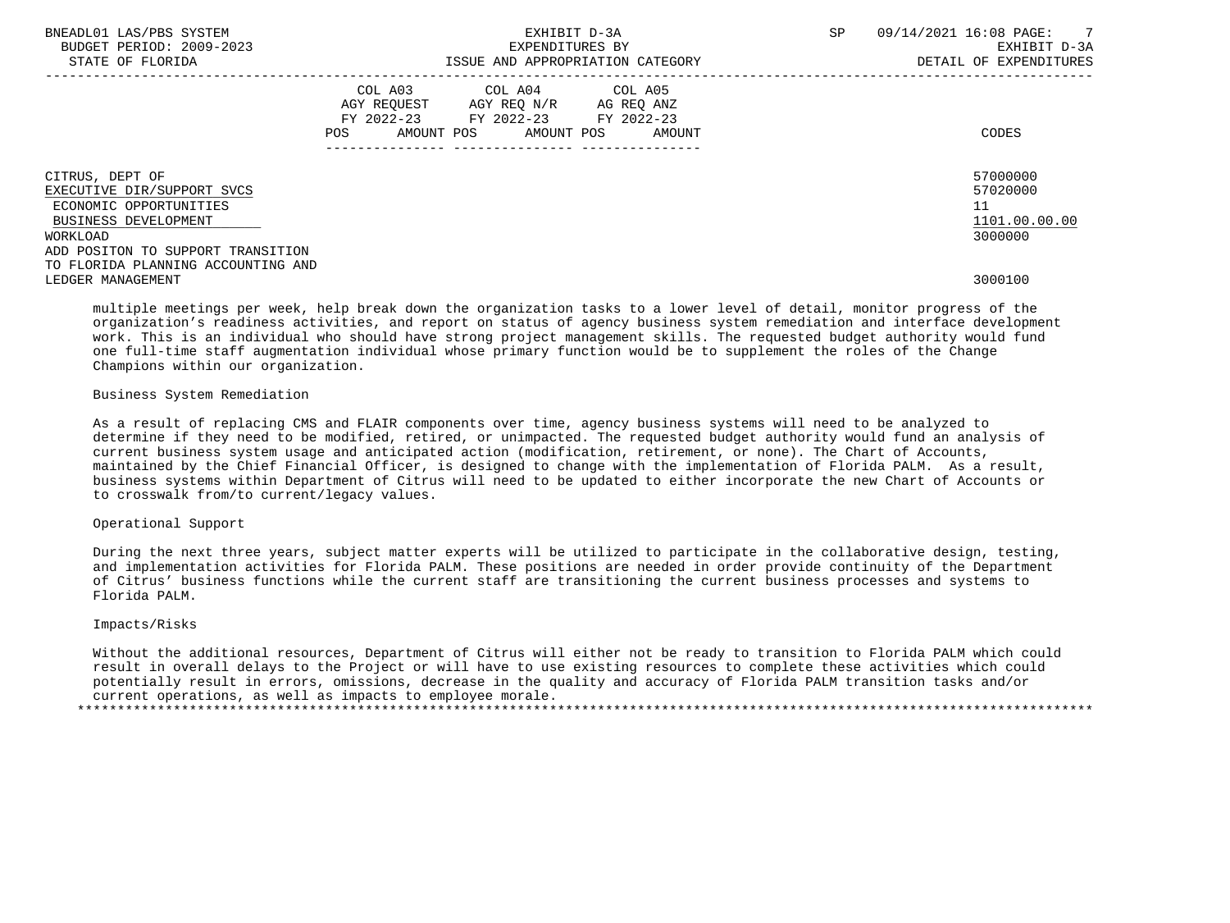| BNEADL01 LAS/PBS SYSTEM<br>BUDGET PERIOD: 2009-2023<br>STATE OF FLORIDA                                                                          | EXHIBIT D-3A<br>EXPENDITURES BY<br>ISSUE AND APPROPRIATION CATEGORY                                                                      | <b>SP</b> | 09/14/2021 16:08 PAGE: 7<br>EXHIBIT D-3A<br>DETAIL OF EXPENDITURES |
|--------------------------------------------------------------------------------------------------------------------------------------------------|------------------------------------------------------------------------------------------------------------------------------------------|-----------|--------------------------------------------------------------------|
|                                                                                                                                                  | COL A03<br>COL A04 COL A05<br>AGY REQUEST AGY REQ N/R AG REQ ANZ<br>FY 2022-23 FY 2022-23 FY 2022-23<br>POS AMOUNT POS AMOUNT POS AMOUNT |           | CODES                                                              |
| CITRUS, DEPT OF<br>EXECUTIVE DIR/SUPPORT SVCS<br>ECONOMIC OPPORTUNITIES<br>BUSINESS DEVELOPMENT<br>WORKLOAD<br>ADD POSITON TO SUPPORT TRANSITION |                                                                                                                                          |           | 57000000<br>57020000<br>11<br>1101.00.00.00<br>3000000             |
| TO FLORIDA PLANNING ACCOUNTING AND<br>LEDGER MANAGEMENT                                                                                          |                                                                                                                                          |           | 3000100                                                            |

 multiple meetings per week, help break down the organization tasks to a lower level of detail, monitor progress of the organization's readiness activities, and report on status of agency business system remediation and interface development work. This is an individual who should have strong project management skills. The requested budget authority would fund one full-time staff augmentation individual whose primary function would be to supplement the roles of the Change Champions within our organization.

## Business System Remediation

 As a result of replacing CMS and FLAIR components over time, agency business systems will need to be analyzed to determine if they need to be modified, retired, or unimpacted. The requested budget authority would fund an analysis of current business system usage and anticipated action (modification, retirement, or none). The Chart of Accounts, maintained by the Chief Financial Officer, is designed to change with the implementation of Florida PALM. As a result, business systems within Department of Citrus will need to be updated to either incorporate the new Chart of Accounts or to crosswalk from/to current/legacy values.

# Operational Support

 During the next three years, subject matter experts will be utilized to participate in the collaborative design, testing, and implementation activities for Florida PALM. These positions are needed in order provide continuity of the Department of Citrus' business functions while the current staff are transitioning the current business processes and systems to Florida PALM.

#### Impacts/Risks

 Without the additional resources, Department of Citrus will either not be ready to transition to Florida PALM which could result in overall delays to the Project or will have to use existing resources to complete these activities which could potentially result in errors, omissions, decrease in the quality and accuracy of Florida PALM transition tasks and/or current operations, as well as impacts to employee morale. \*\*\*\*\*\*\*\*\*\*\*\*\*\*\*\*\*\*\*\*\*\*\*\*\*\*\*\*\*\*\*\*\*\*\*\*\*\*\*\*\*\*\*\*\*\*\*\*\*\*\*\*\*\*\*\*\*\*\*\*\*\*\*\*\*\*\*\*\*\*\*\*\*\*\*\*\*\*\*\*\*\*\*\*\*\*\*\*\*\*\*\*\*\*\*\*\*\*\*\*\*\*\*\*\*\*\*\*\*\*\*\*\*\*\*\*\*\*\*\*\*\*\*\*\*\*\*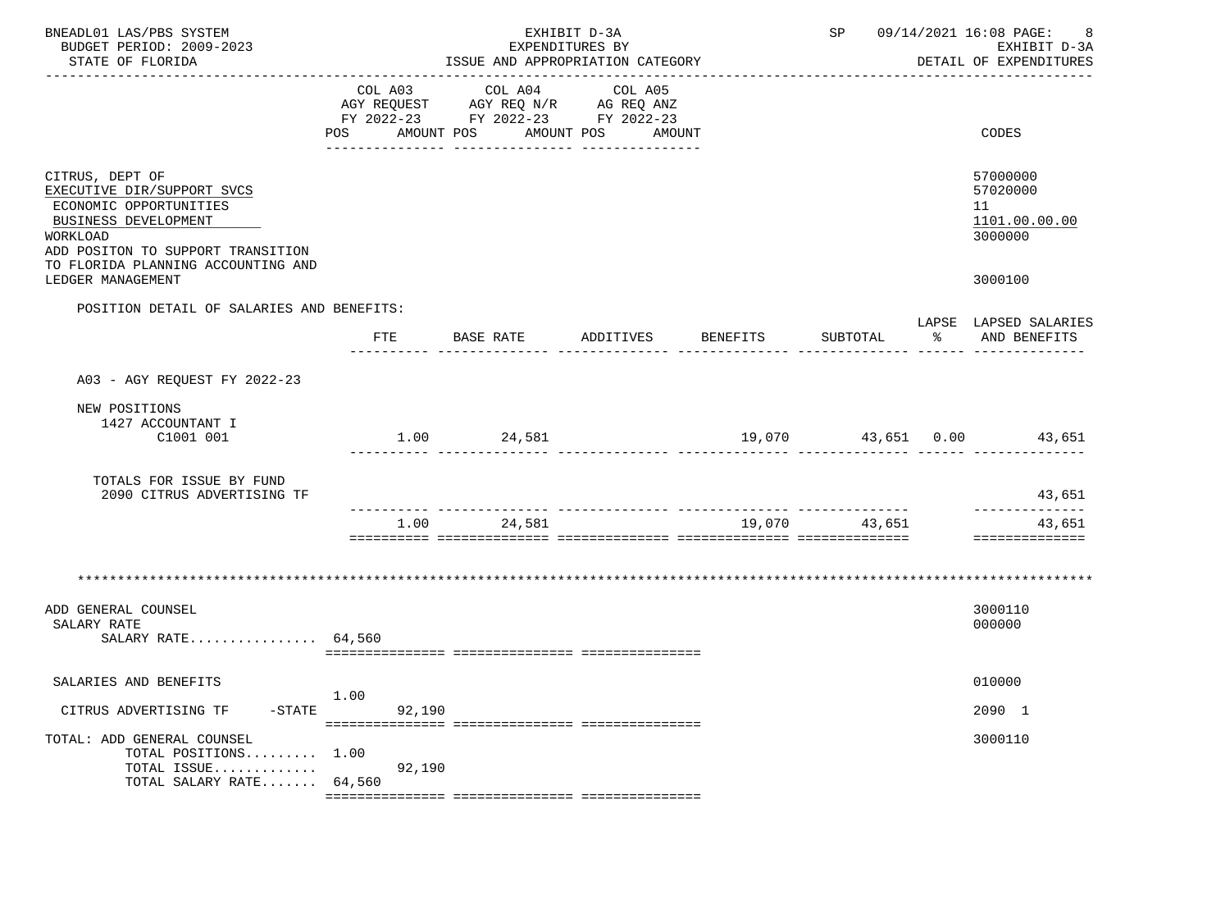| BNEADL01 LAS/PBS SYSTEM<br>BUDGET PERIOD: 2009-2023<br>STATE OF FLORIDA                                                                                                                | EXHIBIT D-3A<br>EXPENDITURES BY<br>ISSUE AND APPROPRIATION CATEGORY |         |                       |                                                                                                           |          | SP 09/14/2021 16:08 PAGE:<br>8<br>EXHIBIT D-3A<br>DETAIL OF EXPENDITURES |      |                                                        |
|----------------------------------------------------------------------------------------------------------------------------------------------------------------------------------------|---------------------------------------------------------------------|---------|-----------------------|-----------------------------------------------------------------------------------------------------------|----------|--------------------------------------------------------------------------|------|--------------------------------------------------------|
|                                                                                                                                                                                        | POS                                                                 | COL A03 | COL A04<br>AMOUNT POS | COL A05<br>AGY REQUEST AGY REQ N/R AG REQ ANZ<br>FY 2022-23 FY 2022-23 FY 2022-23<br>AMOUNT POS<br>AMOUNT |          |                                                                          |      | CODES                                                  |
| CITRUS, DEPT OF<br>EXECUTIVE DIR/SUPPORT SVCS<br>ECONOMIC OPPORTUNITIES<br>BUSINESS DEVELOPMENT<br>WORKLOAD<br>ADD POSITON TO SUPPORT TRANSITION<br>TO FLORIDA PLANNING ACCOUNTING AND |                                                                     |         |                       |                                                                                                           |          |                                                                          |      | 57000000<br>57020000<br>11<br>1101.00.00.00<br>3000000 |
| LEDGER MANAGEMENT                                                                                                                                                                      |                                                                     |         |                       |                                                                                                           |          |                                                                          |      | 3000100                                                |
| POSITION DETAIL OF SALARIES AND BENEFITS:                                                                                                                                              | FTE                                                                 |         | BASE RATE             | ADDITIVES                                                                                                 | BENEFITS | SUBTOTAL                                                                 | ာ အေ | LAPSE LAPSED SALARIES<br>AND BENEFITS                  |
| A03 - AGY REQUEST FY 2022-23                                                                                                                                                           |                                                                     |         |                       |                                                                                                           |          |                                                                          |      |                                                        |
| NEW POSITIONS<br>1427 ACCOUNTANT I<br>C1001 001                                                                                                                                        |                                                                     |         | $1.00$ 24,581         |                                                                                                           |          |                                                                          |      | $19,070$ $43,651$ $0.00$ $43,651$                      |
| TOTALS FOR ISSUE BY FUND<br>2090 CITRUS ADVERTISING TF                                                                                                                                 |                                                                     |         |                       |                                                                                                           |          |                                                                          |      | 43,651                                                 |
|                                                                                                                                                                                        |                                                                     |         | 1.00 24,581           |                                                                                                           |          | 19,070 43,651                                                            |      | _____________<br>43,651<br>==============              |
|                                                                                                                                                                                        |                                                                     |         |                       |                                                                                                           |          |                                                                          |      |                                                        |
| ADD GENERAL COUNSEL<br>SALARY RATE<br>SALARY RATE 64,560                                                                                                                               |                                                                     |         |                       |                                                                                                           |          |                                                                          |      | 3000110<br>000000                                      |
| SALARIES AND BENEFITS                                                                                                                                                                  |                                                                     |         |                       |                                                                                                           |          |                                                                          |      | 010000                                                 |
| CITRUS ADVERTISING TF<br>$-STATE$                                                                                                                                                      | 1.00                                                                | 92,190  |                       |                                                                                                           |          |                                                                          |      | 2090 1                                                 |
| TOTAL: ADD GENERAL COUNSEL<br>TOTAL POSITIONS<br>TOTAL ISSUE<br>TOTAL SALARY RATE                                                                                                      | 1.00<br>64,560                                                      | 92,190  |                       |                                                                                                           |          |                                                                          |      | 3000110                                                |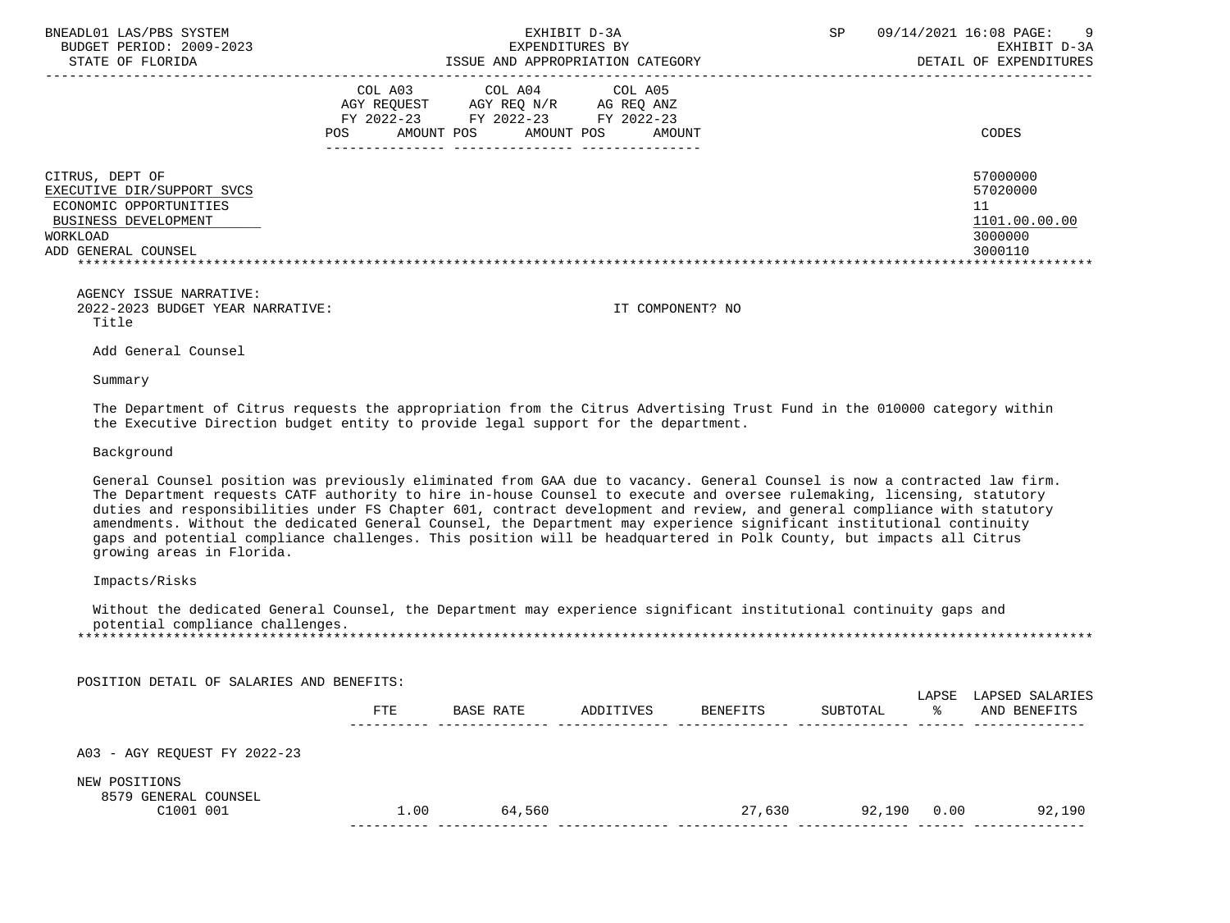| BNEADL01 LAS/PBS SYSTEM<br>BUDGET PERIOD: 2009-2023<br>STATE OF FLORIDA                                                                                                                                                                                                                                                                                                                                                                                                                                                                                                                                                                                        |            |                                                                                                 | EXHIBIT D-3A<br>EXPENDITURES BY<br>ISSUE AND APPROPRIATION CATEGORY |                  | SP.      |   | 09/14/2021 16:08 PAGE:<br>EXHIBIT D-3A<br>DETAIL OF EXPENDITURES                         |
|----------------------------------------------------------------------------------------------------------------------------------------------------------------------------------------------------------------------------------------------------------------------------------------------------------------------------------------------------------------------------------------------------------------------------------------------------------------------------------------------------------------------------------------------------------------------------------------------------------------------------------------------------------------|------------|-------------------------------------------------------------------------------------------------|---------------------------------------------------------------------|------------------|----------|---|------------------------------------------------------------------------------------------|
| POS.                                                                                                                                                                                                                                                                                                                                                                                                                                                                                                                                                                                                                                                           | COL A03    | COL A04<br>AGY REQUEST AGY REQ N/R AG REQ ANZ<br>FY 2022-23 FY 2022-23 FY 2022-23<br>AMOUNT POS | COL A05<br>AMOUNT POS                                               | AMOUNT           |          |   | CODES                                                                                    |
| CITRUS, DEPT OF<br>EXECUTIVE DIR/SUPPORT SVCS<br>ECONOMIC OPPORTUNITIES<br>BUSINESS DEVELOPMENT<br>WORKLOAD<br>ADD GENERAL COUNSEL<br>******************************                                                                                                                                                                                                                                                                                                                                                                                                                                                                                           |            |                                                                                                 |                                                                     |                  |          |   | 57000000<br>57020000<br>11<br>1101.00.00.00<br>3000000<br>3000110<br>******************* |
| AGENCY ISSUE NARRATIVE:<br>2022-2023 BUDGET YEAR NARRATIVE:<br>Title                                                                                                                                                                                                                                                                                                                                                                                                                                                                                                                                                                                           |            |                                                                                                 |                                                                     | IT COMPONENT? NO |          |   |                                                                                          |
| Add General Counsel                                                                                                                                                                                                                                                                                                                                                                                                                                                                                                                                                                                                                                            |            |                                                                                                 |                                                                     |                  |          |   |                                                                                          |
| Summary                                                                                                                                                                                                                                                                                                                                                                                                                                                                                                                                                                                                                                                        |            |                                                                                                 |                                                                     |                  |          |   |                                                                                          |
| The Department of Citrus requests the appropriation from the Citrus Advertising Trust Fund in the 010000 category within<br>the Executive Direction budget entity to provide legal support for the department.                                                                                                                                                                                                                                                                                                                                                                                                                                                 |            |                                                                                                 |                                                                     |                  |          |   |                                                                                          |
| Background                                                                                                                                                                                                                                                                                                                                                                                                                                                                                                                                                                                                                                                     |            |                                                                                                 |                                                                     |                  |          |   |                                                                                          |
| General Counsel position was previously eliminated from GAA due to vacancy. General Counsel is now a contracted law firm.<br>The Department requests CATF authority to hire in-house Counsel to execute and oversee rulemaking, licensing, statutory<br>duties and responsibilities under FS Chapter 601, contract development and review, and general compliance with statutory<br>amendments. Without the dedicated General Counsel, the Department may experience significant institutional continuity<br>gaps and potential compliance challenges. This position will be headquartered in Polk County, but impacts all Citrus<br>growing areas in Florida. |            |                                                                                                 |                                                                     |                  |          |   |                                                                                          |
| Impacts/Risks                                                                                                                                                                                                                                                                                                                                                                                                                                                                                                                                                                                                                                                  |            |                                                                                                 |                                                                     |                  |          |   |                                                                                          |
| Without the dedicated General Counsel, the Department may experience significant institutional continuity gaps and<br>potential compliance challenges.                                                                                                                                                                                                                                                                                                                                                                                                                                                                                                         |            |                                                                                                 |                                                                     |                  |          |   |                                                                                          |
| POSITION DETAIL OF SALARIES AND BENEFITS:                                                                                                                                                                                                                                                                                                                                                                                                                                                                                                                                                                                                                      |            |                                                                                                 |                                                                     |                  |          |   |                                                                                          |
|                                                                                                                                                                                                                                                                                                                                                                                                                                                                                                                                                                                                                                                                | <b>FTE</b> | BASE RATE                                                                                       | ADDITIVES                                                           | BENEFITS         | SUBTOTAL | ° | LAPSE LAPSED SALARIES<br>AND BENEFITS                                                    |
| A03 - AGY REOUEST FY 2022-23                                                                                                                                                                                                                                                                                                                                                                                                                                                                                                                                                                                                                                   |            |                                                                                                 |                                                                     |                  |          |   |                                                                                          |

NEW POSITIONS

8579 GENERAL COUNSEL

| . വ<br>. ٥٥ - ٦ | $\ldots$ 00 | 560<br>n4 | 630 | a r<br>ററ | ٬۵۲۰ |
|-----------------|-------------|-----------|-----|-----------|------|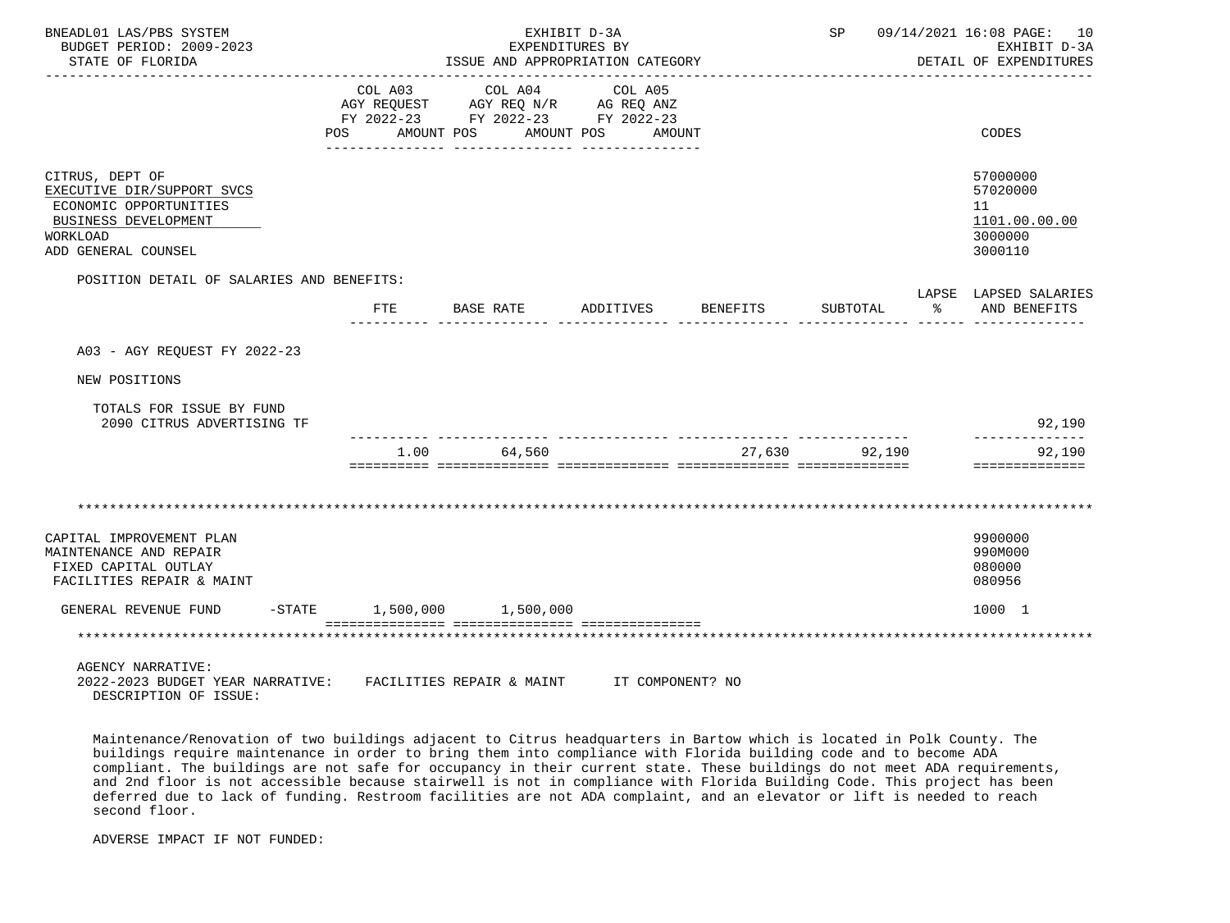| BNEADL01 LAS/PBS SYSTEM<br>BUDGET PERIOD: 2009-2023<br>STATE OF FLORIDA                                                                   |                | EXHIBIT D-3A<br>EXPENDITURES BY<br>ISSUE AND APPROPRIATION CATEGORY                       | SP 09/14/2021 16:08 PAGE: 10<br>EXHIBIT D-3A<br>DETAIL OF EXPENDITURES |  |               |                                                                   |
|-------------------------------------------------------------------------------------------------------------------------------------------|----------------|-------------------------------------------------------------------------------------------|------------------------------------------------------------------------|--|---------------|-------------------------------------------------------------------|
|                                                                                                                                           | POS AMOUNT POS | COL A03 COL A04<br>AGY REQUEST AGY REQ N/R AG REQ ANZ<br>FY 2022-23 FY 2022-23 FY 2022-23 | COL A05<br>AMOUNT POS AMOUNT                                           |  |               | CODES                                                             |
| CITRUS, DEPT OF<br>EXECUTIVE DIR/SUPPORT SVCS<br>ECONOMIC OPPORTUNITIES<br>BUSINESS DEVELOPMENT<br><b>WORKLOAD</b><br>ADD GENERAL COUNSEL |                |                                                                                           |                                                                        |  |               | 57000000<br>57020000<br>11<br>1101.00.00.00<br>3000000<br>3000110 |
| POSITION DETAIL OF SALARIES AND BENEFITS:                                                                                                 |                |                                                                                           |                                                                        |  |               | LAPSE LAPSED SALARIES                                             |
|                                                                                                                                           | FTE            | BASE RATE ADDITIVES BENEFITS                                                              |                                                                        |  | SUBTOTAL      | ႜႂ<br>AND BENEFITS                                                |
| A03 - AGY REOUEST FY 2022-23<br>NEW POSITIONS<br>TOTALS FOR ISSUE BY FUND<br>2090 CITRUS ADVERTISING TF                                   |                |                                                                                           |                                                                        |  |               | 92,190<br>--------------                                          |
|                                                                                                                                           | 1.00           | 64,560                                                                                    |                                                                        |  | 27.630 92.190 | 92,190<br>==============                                          |
| CAPITAL IMPROVEMENT PLAN<br>MAINTENANCE AND REPAIR<br>FIXED CAPITAL OUTLAY<br>FACILITIES REPAIR & MAINT                                   |                |                                                                                           |                                                                        |  |               | 9900000<br>990M000<br>080000<br>080956                            |
| GENERAL REVENUE FUND -STATE 1,500,000 1,500,000                                                                                           |                |                                                                                           |                                                                        |  |               | 1000 1                                                            |
|                                                                                                                                           |                |                                                                                           |                                                                        |  |               |                                                                   |
| <b>AGENCY NARRATIVE:</b><br>2022-2023 BUDGET YEAR NARRATIVE:<br>DESCRIPTION OF ISSUE:                                                     |                | FACILITIES REPAIR & MAINT                                                                 | IT COMPONENT? NO                                                       |  |               |                                                                   |

 Maintenance/Renovation of two buildings adjacent to Citrus headquarters in Bartow which is located in Polk County. The buildings require maintenance in order to bring them into compliance with Florida building code and to become ADA compliant. The buildings are not safe for occupancy in their current state. These buildings do not meet ADA requirements, and 2nd floor is not accessible because stairwell is not in compliance with Florida Building Code. This project has been deferred due to lack of funding. Restroom facilities are not ADA complaint, and an elevator or lift is needed to reach second floor.

ADVERSE IMPACT IF NOT FUNDED: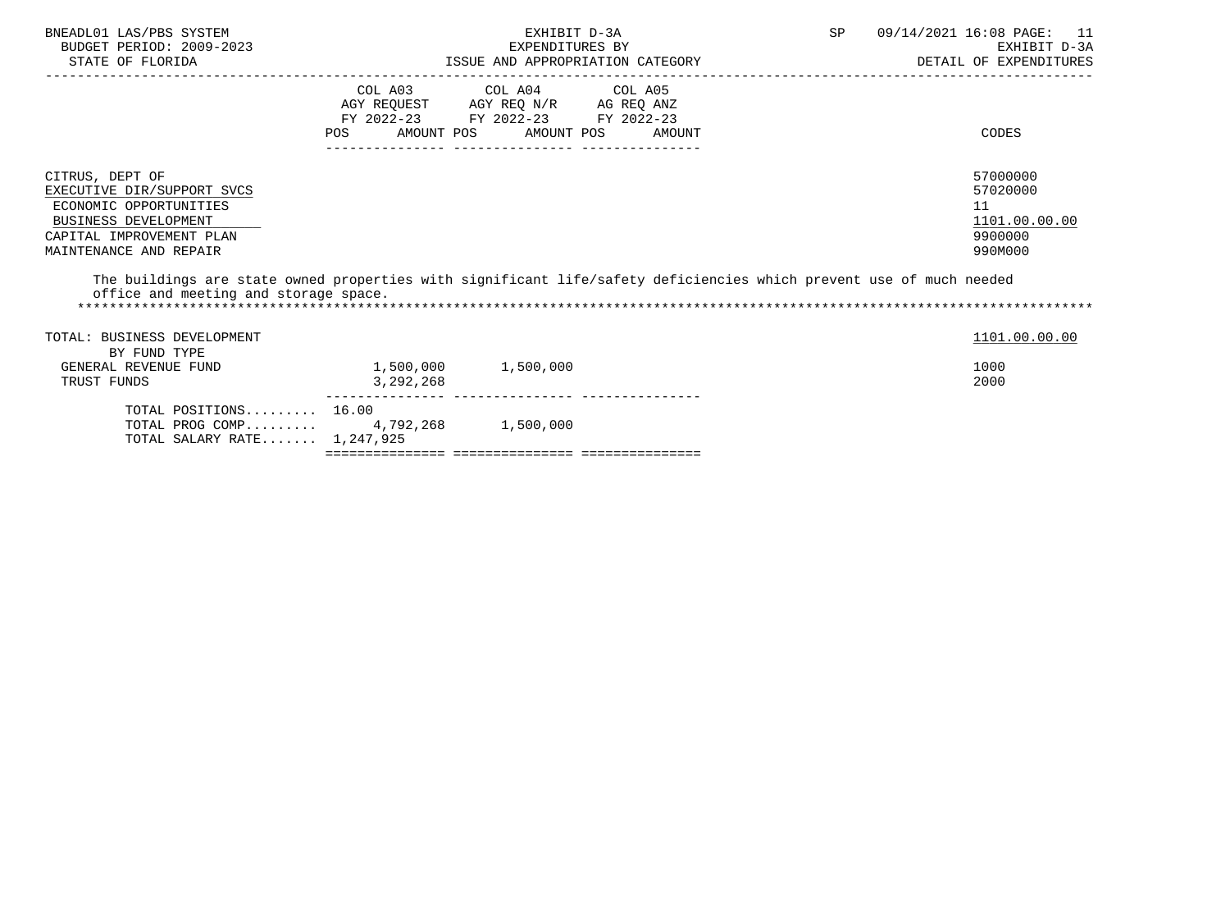| BNEADL01 LAS/PBS SYSTEM<br>BUDGET PERIOD: 2009-2023<br>STATE OF FLORIDA                                                                                                                                                                                                                                                      |                                                                                                          | EXHIBIT D-3A<br>EXPENDITURES BY | SP<br>EXPENDITURES BY<br>ISSUE AND APPROPRIATION CATEGORY | 09/14/2021 16:08 PAGE: 11<br>EXHIBIT D-3A<br>DETAIL OF EXPENDITURES |                                                                   |
|------------------------------------------------------------------------------------------------------------------------------------------------------------------------------------------------------------------------------------------------------------------------------------------------------------------------------|----------------------------------------------------------------------------------------------------------|---------------------------------|-----------------------------------------------------------|---------------------------------------------------------------------|-------------------------------------------------------------------|
|                                                                                                                                                                                                                                                                                                                              | COL A03 COL A04 COL A05<br>AGY REQUEST AGY REQ N/R AG REQ ANZ<br>FY 2022-23 FY 2022-23 FY 2022-23<br>POS | AMOUNT POS AMOUNT POS           | AMOUNT                                                    |                                                                     | CODES                                                             |
| CITRUS, DEPT OF<br>EXECUTIVE DIR/SUPPORT SVCS<br>ECONOMIC OPPORTUNITIES<br><b>BUSINESS DEVELOPMENT</b><br>CAPITAL IMPROVEMENT PLAN<br>MAINTENANCE AND REPAIR<br>The buildings are state owned properties with significant life/safety deficiencies which prevent use of much needed<br>office and meeting and storage space. |                                                                                                          |                                 |                                                           |                                                                     | 57000000<br>57020000<br>11<br>1101.00.00.00<br>9900000<br>990M000 |
| TOTAL: BUSINESS DEVELOPMENT<br>BY FUND TYPE<br>GENERAL REVENUE FUND<br>TRUST FUNDS                                                                                                                                                                                                                                           | 1,500,000 1,500,000<br>3,292,268                                                                         |                                 |                                                           |                                                                     | 1101.00.00.00<br>1000<br>2000                                     |
| TOTAL POSITIONS 16.00<br>TOTAL PROG COMP 4,792,268 1,500,000                                                                                                                                                                                                                                                                 |                                                                                                          |                                 |                                                           |                                                                     |                                                                   |

TOTAL SALARY RATE....... 1,247,925

=============== =============== ===============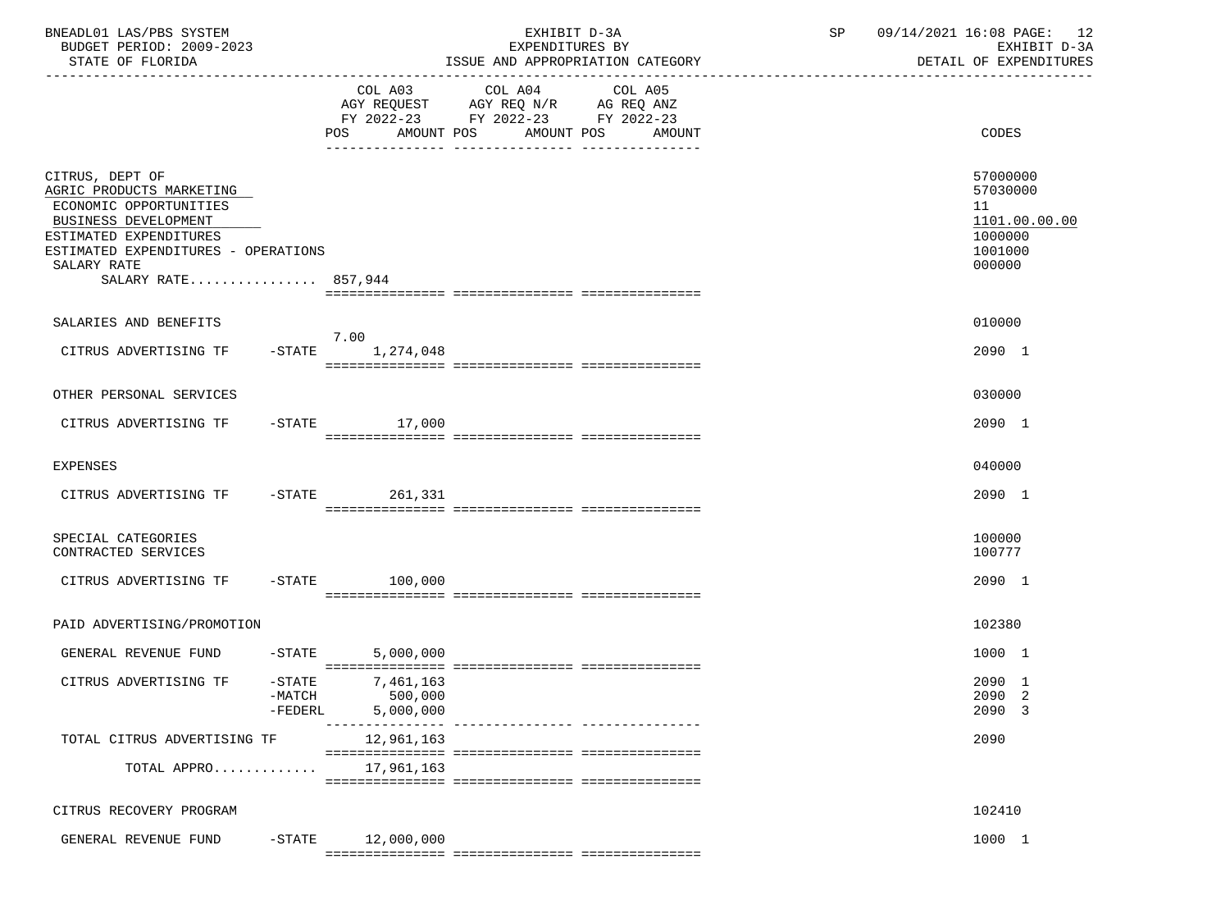| BNEADL01 LAS/PBS SYSTEM<br>BUDGET PERIOD: 2009-2023<br>STATE OF FLORIDA                                                                                                                              |                       |                                              | EXHIBIT D-3A<br>EXPENDITURES BY<br>ISSUE AND APPROPRIATION CATEGORY                                                            |        | SP | 09/14/2021 16:08 PAGE: 12<br>EXHIBIT D-3A<br>DETAIL OF EXPENDITURES         |
|------------------------------------------------------------------------------------------------------------------------------------------------------------------------------------------------------|-----------------------|----------------------------------------------|--------------------------------------------------------------------------------------------------------------------------------|--------|----|-----------------------------------------------------------------------------|
|                                                                                                                                                                                                      |                       |                                              | COL A03 COL A04 COL A05<br>AGY REQUEST AGY REQ N/R AG REQ ANZ<br>FY 2022-23 FY 2022-23 FY 2022-23<br>POS AMOUNT POS AMOUNT POS | AMOUNT |    | CODES                                                                       |
| CITRUS, DEPT OF<br>AGRIC PRODUCTS MARKETING<br>ECONOMIC OPPORTUNITIES<br>BUSINESS DEVELOPMENT<br>ESTIMATED EXPENDITURES<br>ESTIMATED EXPENDITURES - OPERATIONS<br>SALARY RATE<br>SALARY RATE 857,944 |                       |                                              |                                                                                                                                |        |    | 57000000<br>57030000<br>11<br>1101.00.00.00<br>1000000<br>1001000<br>000000 |
| SALARIES AND BENEFITS                                                                                                                                                                                |                       | 7.00                                         |                                                                                                                                |        |    | 010000                                                                      |
| CITRUS ADVERTISING TF                                                                                                                                                                                |                       | $-$ STATE $1, 274, 048$                      |                                                                                                                                |        |    | 2090 1                                                                      |
| OTHER PERSONAL SERVICES                                                                                                                                                                              |                       |                                              |                                                                                                                                |        |    | 030000                                                                      |
| CITRUS ADVERTISING TF                                                                                                                                                                                |                       | $-$ STATE $17,000$                           |                                                                                                                                |        |    | 2090 1                                                                      |
| <b>EXPENSES</b>                                                                                                                                                                                      |                       |                                              |                                                                                                                                |        |    | 040000                                                                      |
| CITRUS ADVERTISING TF -STATE 261,331                                                                                                                                                                 |                       |                                              |                                                                                                                                |        |    | 2090 1                                                                      |
| SPECIAL CATEGORIES<br>CONTRACTED SERVICES                                                                                                                                                            |                       |                                              |                                                                                                                                |        |    | 100000<br>100777                                                            |
| CITRUS ADVERTISING TF -STATE 100,000                                                                                                                                                                 |                       |                                              |                                                                                                                                |        |    | 2090 1                                                                      |
| PAID ADVERTISING/PROMOTION                                                                                                                                                                           |                       |                                              |                                                                                                                                |        |    | 102380                                                                      |
| GENERAL REVENUE FUND -STATE 5,000,000                                                                                                                                                                |                       |                                              |                                                                                                                                |        |    | 1000 1                                                                      |
| CITRUS ADVERTISING TF                                                                                                                                                                                | $-MATCH$<br>$-FEDERL$ | $-STATE$ 7, 461, 163<br>500,000<br>5,000,000 |                                                                                                                                |        |    | 2090 1<br>2090 2<br>2090 3                                                  |
| TOTAL CITRUS ADVERTISING TF                                                                                                                                                                          |                       | 12,961,163                                   |                                                                                                                                |        |    | 2090                                                                        |
| TOTAL APPRO                                                                                                                                                                                          |                       | 17,961,163                                   |                                                                                                                                |        |    |                                                                             |
| CITRUS RECOVERY PROGRAM                                                                                                                                                                              |                       |                                              |                                                                                                                                |        |    | 102410                                                                      |
| GENERAL REVENUE FUND                                                                                                                                                                                 | $-$ STATE             | 12,000,000                                   |                                                                                                                                |        |    | 1000 1                                                                      |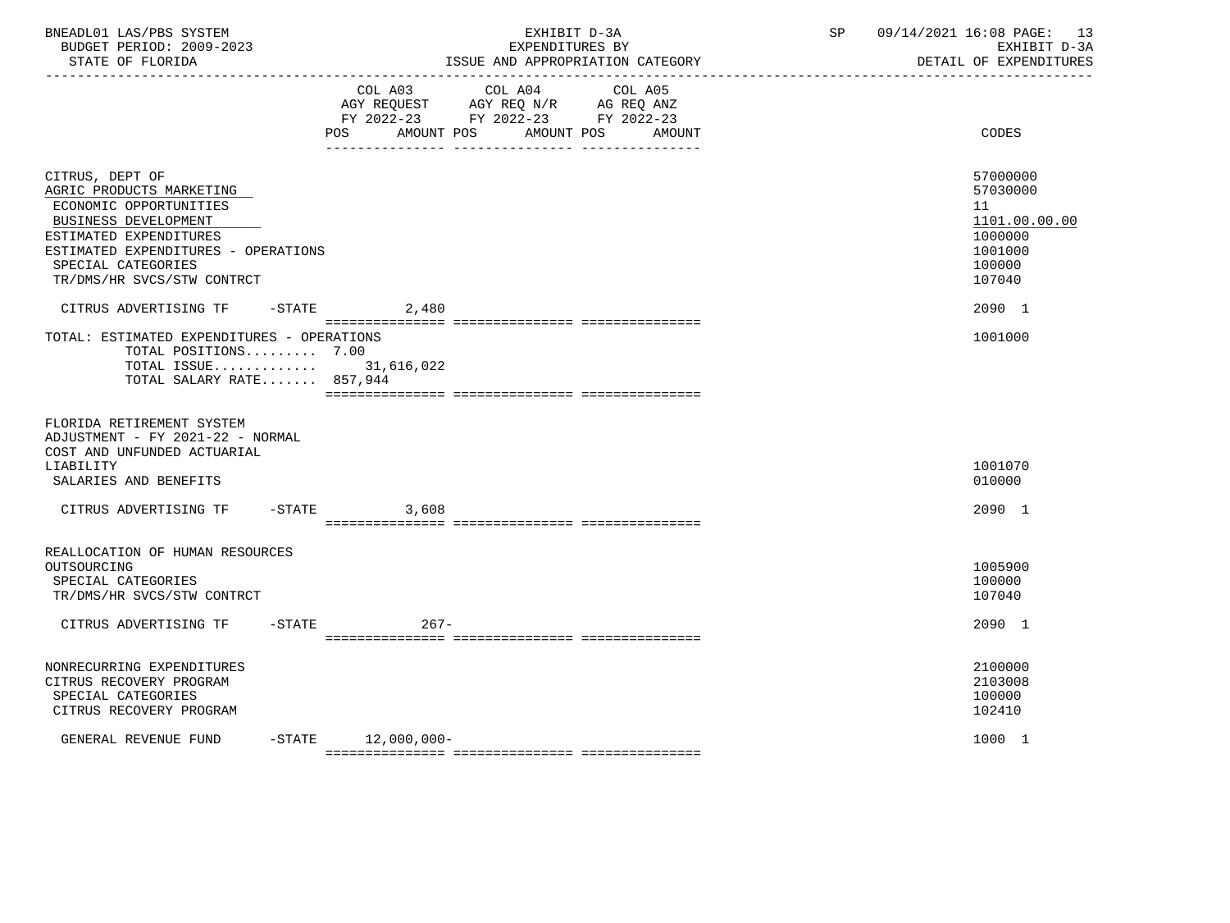| BNEADL01 LAS/PBS SYSTEM<br>BUDGET PERIOD: 2009-2023<br>STATE OF FLORIDA<br>----------------                                                                                                                        |                          | EXHIBIT D-3A<br>EXPENDITURES BY<br>ISSUE AND APPROPRIATION CATEGORY                                                          | 09/14/2021 16:08 PAGE:<br>SP<br>DETAIL OF EXPENDITURES               | -13<br>EXHIBIT D-3A |
|--------------------------------------------------------------------------------------------------------------------------------------------------------------------------------------------------------------------|--------------------------|------------------------------------------------------------------------------------------------------------------------------|----------------------------------------------------------------------|---------------------|
|                                                                                                                                                                                                                    | <b>POS</b><br>AMOUNT POS | COL A03 COL A04<br>COL A05<br>AGY REQUEST AGY REQ N/R AG REQ ANZ<br>FY 2022-23 FY 2022-23 FY 2022-23<br>AMOUNT POS<br>AMOUNT | CODES                                                                |                     |
| CITRUS, DEPT OF<br>AGRIC PRODUCTS MARKETING<br>ECONOMIC OPPORTUNITIES<br>BUSINESS DEVELOPMENT<br>ESTIMATED EXPENDITURES<br>ESTIMATED EXPENDITURES - OPERATIONS<br>SPECIAL CATEGORIES<br>TR/DMS/HR SVCS/STW CONTRCT |                          |                                                                                                                              | 57000000<br>57030000<br>11<br>1000000<br>1001000<br>100000<br>107040 | 1101.00.00.00       |
| CITRUS ADVERTISING TF<br>TOTAL: ESTIMATED EXPENDITURES - OPERATIONS<br>TOTAL POSITIONS 7.00<br>TOTAL ISSUE 31,616,022<br>TOTAL SALARY RATE 857,944                                                                 | $-$ STATE 2,480          |                                                                                                                              | 2090 1<br>1001000                                                    |                     |
| FLORIDA RETIREMENT SYSTEM<br>ADJUSTMENT - FY 2021-22 - NORMAL<br>COST AND UNFUNDED ACTUARIAL<br>LIABILITY<br>SALARIES AND BENEFITS                                                                                 |                          |                                                                                                                              | 1001070<br>010000                                                    |                     |
| CITRUS ADVERTISING TF                                                                                                                                                                                              | $-$ STATE<br>3,608       |                                                                                                                              | 2090 1                                                               |                     |
| REALLOCATION OF HUMAN RESOURCES<br>OUTSOURCING<br>SPECIAL CATEGORIES<br>TR/DMS/HR SVCS/STW CONTRCT                                                                                                                 |                          |                                                                                                                              | 1005900<br>100000<br>107040                                          |                     |
| CITRUS ADVERTISING TF<br>$-$ STATE                                                                                                                                                                                 | $267-$                   |                                                                                                                              | 2090 1                                                               |                     |
| NONRECURRING EXPENDITURES<br>CITRUS RECOVERY PROGRAM<br>SPECIAL CATEGORIES<br>CITRUS RECOVERY PROGRAM                                                                                                              |                          |                                                                                                                              | 2100000<br>2103008<br>100000<br>102410                               |                     |
| GENERAL REVENUE FUND                                                                                                                                                                                               | $-STATE$ 12,000,000-     |                                                                                                                              | 1000 1                                                               |                     |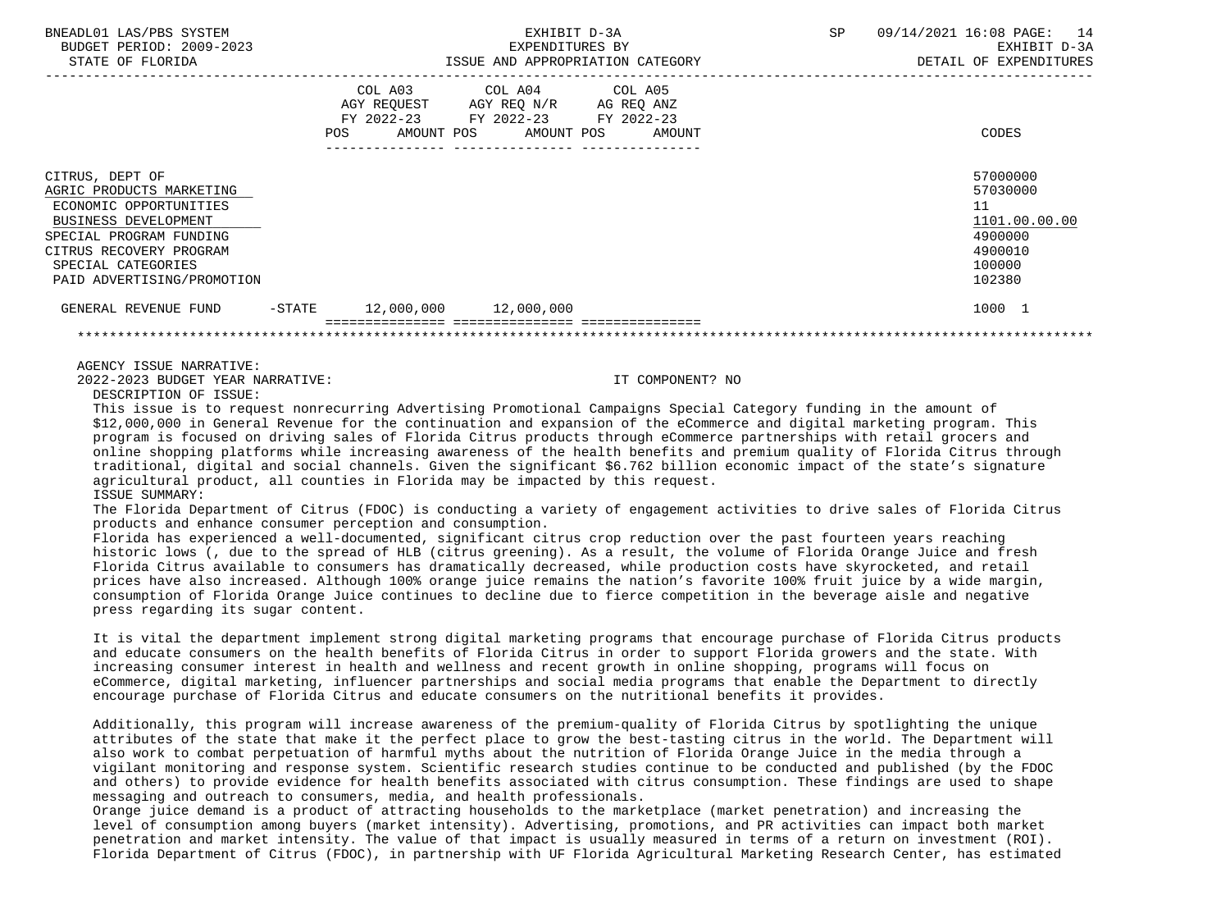| BNEADL01 LAS/PBS SYSTEM<br>BUDGET PERIOD: 2009-2023<br>STATE OF FLORIDA                                                                                                                                 |           | EXHIBIT D-3A<br>EXPENDITURES BY<br>ISSUE AND APPROPRIATION CATEGORY                               |  |                              | <b>SP</b> | 09/14/2021 16:08 PAGE: 14<br>EXHIBIT D-3A<br>DETAIL OF EXPENDITURES                   |
|---------------------------------------------------------------------------------------------------------------------------------------------------------------------------------------------------------|-----------|---------------------------------------------------------------------------------------------------|--|------------------------------|-----------|---------------------------------------------------------------------------------------|
|                                                                                                                                                                                                         | POS       | COL A03 COL A04 COL A05<br>AGY REQUEST AGY REQ N/R AG REQ ANZ<br>FY 2022-23 FY 2022-23 FY 2022-23 |  | AMOUNT POS AMOUNT POS AMOUNT |           | CODES                                                                                 |
| CITRUS, DEPT OF<br>AGRIC PRODUCTS MARKETING<br>ECONOMIC OPPORTUNITIES<br>BUSINESS DEVELOPMENT<br>SPECIAL PROGRAM FUNDING<br>CITRUS RECOVERY PROGRAM<br>SPECIAL CATEGORIES<br>PAID ADVERTISING/PROMOTION |           |                                                                                                   |  |                              |           | 57000000<br>57030000<br>11<br>1101.00.00.00<br>4900000<br>4900010<br>100000<br>102380 |
| GENERAL REVENUE FUND                                                                                                                                                                                    | $-$ STATE | $12,000,000$ $12,000,000$                                                                         |  |                              |           | 1000 1                                                                                |
|                                                                                                                                                                                                         |           |                                                                                                   |  |                              |           |                                                                                       |
|                                                                                                                                                                                                         |           |                                                                                                   |  |                              |           |                                                                                       |

AGENCY ISSUE NARRATIVE:

2022-2023 BUDGET YEAR NARRATIVE: IT COMPONENT? NO

DESCRIPTION OF ISSUE:

 This issue is to request nonrecurring Advertising Promotional Campaigns Special Category funding in the amount of \$12,000,000 in General Revenue for the continuation and expansion of the eCommerce and digital marketing program. This program is focused on driving sales of Florida Citrus products through eCommerce partnerships with retail grocers and online shopping platforms while increasing awareness of the health benefits and premium quality of Florida Citrus through traditional, digital and social channels. Given the significant \$6.762 billion economic impact of the state's signature agricultural product, all counties in Florida may be impacted by this request. ISSUE SUMMARY:

 The Florida Department of Citrus (FDOC) is conducting a variety of engagement activities to drive sales of Florida Citrus products and enhance consumer perception and consumption.

 Florida has experienced a well-documented, significant citrus crop reduction over the past fourteen years reaching historic lows (, due to the spread of HLB (citrus greening). As a result, the volume of Florida Orange Juice and fresh Florida Citrus available to consumers has dramatically decreased, while production costs have skyrocketed, and retail prices have also increased. Although 100% orange juice remains the nation's favorite 100% fruit juice by a wide margin, consumption of Florida Orange Juice continues to decline due to fierce competition in the beverage aisle and negative press regarding its sugar content.

 It is vital the department implement strong digital marketing programs that encourage purchase of Florida Citrus products and educate consumers on the health benefits of Florida Citrus in order to support Florida growers and the state. With increasing consumer interest in health and wellness and recent growth in online shopping, programs will focus on eCommerce, digital marketing, influencer partnerships and social media programs that enable the Department to directly encourage purchase of Florida Citrus and educate consumers on the nutritional benefits it provides.

 Additionally, this program will increase awareness of the premium-quality of Florida Citrus by spotlighting the unique attributes of the state that make it the perfect place to grow the best-tasting citrus in the world. The Department will also work to combat perpetuation of harmful myths about the nutrition of Florida Orange Juice in the media through a vigilant monitoring and response system. Scientific research studies continue to be conducted and published (by the FDOC and others) to provide evidence for health benefits associated with citrus consumption. These findings are used to shape messaging and outreach to consumers, media, and health professionals.

 Orange juice demand is a product of attracting households to the marketplace (market penetration) and increasing the level of consumption among buyers (market intensity). Advertising, promotions, and PR activities can impact both market penetration and market intensity. The value of that impact is usually measured in terms of a return on investment (ROI). Florida Department of Citrus (FDOC), in partnership with UF Florida Agricultural Marketing Research Center, has estimated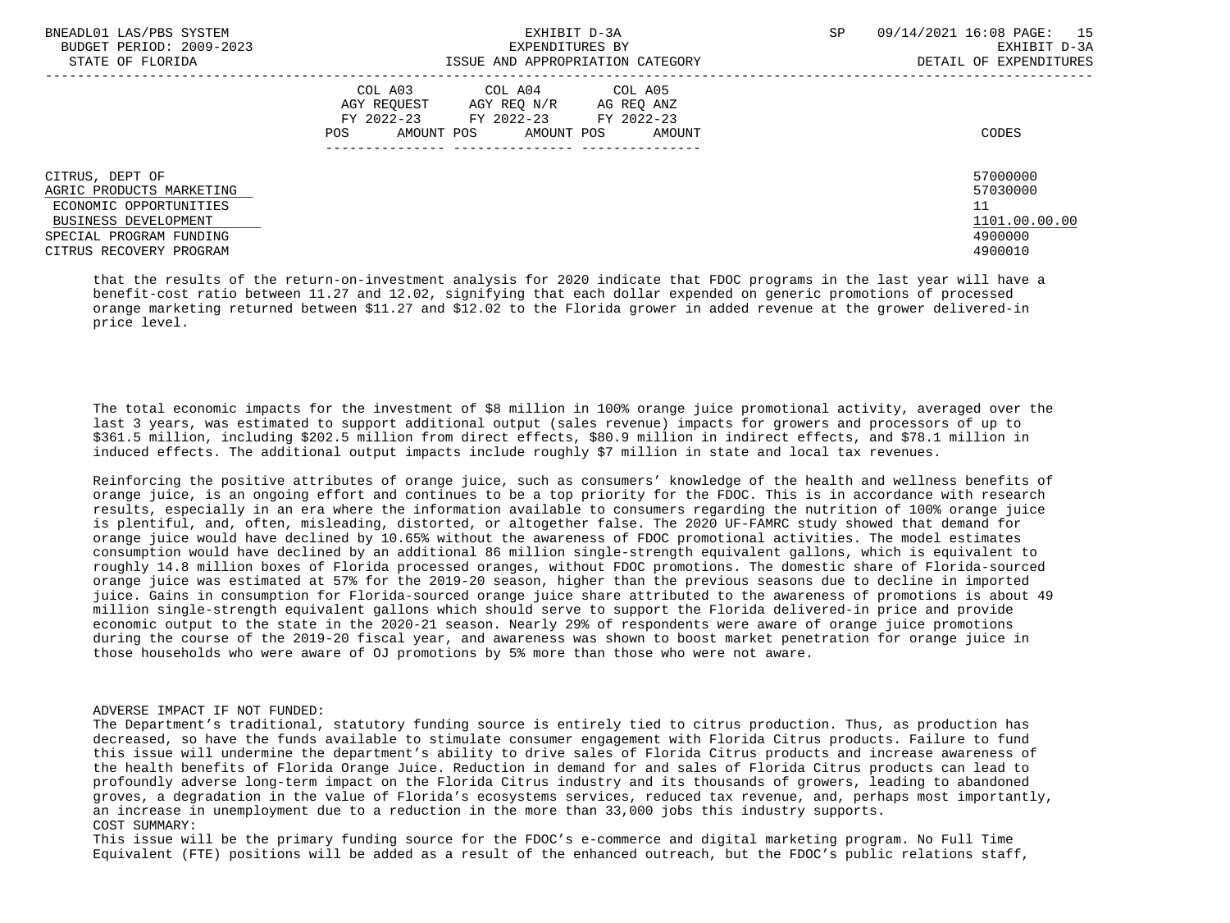| BNEADL01 LAS/PBS SYSTEM<br>BUDGET PERIOD: 2009-2023<br>STATE OF FLORIDA                                                                             | EXHIBIT D-3A<br>EXPENDITURES BY<br>ISSUE AND APPROPRIATION CATEGORY                                                                               | SP                                                                | 09/14/2021 16:08 PAGE: 15<br>EXHIBIT D-3A<br>DETAIL OF EXPENDITURES |  |
|-----------------------------------------------------------------------------------------------------------------------------------------------------|---------------------------------------------------------------------------------------------------------------------------------------------------|-------------------------------------------------------------------|---------------------------------------------------------------------|--|
|                                                                                                                                                     | COL A03<br>COL A04 COL A05<br>AGY REQUEST AGY REQ N/R AG REQ ANZ<br>FY 2022-23 FY 2022-23 FY 2022-23<br>AMOUNT POS<br>AMOUNT POS<br>POS<br>AMOUNT | CODES                                                             |                                                                     |  |
| CITRUS, DEPT OF<br>AGRIC PRODUCTS MARKETING<br>ECONOMIC OPPORTUNITIES<br>BUSINESS DEVELOPMENT<br>SPECIAL PROGRAM FUNDING<br>CITRUS RECOVERY PROGRAM |                                                                                                                                                   | 57000000<br>57030000<br>11<br>1101.00.00.00<br>4900000<br>4900010 |                                                                     |  |

 that the results of the return-on-investment analysis for 2020 indicate that FDOC programs in the last year will have a benefit-cost ratio between 11.27 and 12.02, signifying that each dollar expended on generic promotions of processed orange marketing returned between \$11.27 and \$12.02 to the Florida grower in added revenue at the grower delivered-in price level.

 The total economic impacts for the investment of \$8 million in 100% orange juice promotional activity, averaged over the last 3 years, was estimated to support additional output (sales revenue) impacts for growers and processors of up to \$361.5 million, including \$202.5 million from direct effects, \$80.9 million in indirect effects, and \$78.1 million in induced effects. The additional output impacts include roughly \$7 million in state and local tax revenues.

 Reinforcing the positive attributes of orange juice, such as consumers' knowledge of the health and wellness benefits of orange juice, is an ongoing effort and continues to be a top priority for the FDOC. This is in accordance with research results, especially in an era where the information available to consumers regarding the nutrition of 100% orange juice is plentiful, and, often, misleading, distorted, or altogether false. The 2020 UF-FAMRC study showed that demand for orange juice would have declined by 10.65% without the awareness of FDOC promotional activities. The model estimates consumption would have declined by an additional 86 million single-strength equivalent gallons, which is equivalent to roughly 14.8 million boxes of Florida processed oranges, without FDOC promotions. The domestic share of Florida-sourced orange juice was estimated at 57% for the 2019-20 season, higher than the previous seasons due to decline in imported juice. Gains in consumption for Florida-sourced orange juice share attributed to the awareness of promotions is about 49 million single-strength equivalent gallons which should serve to support the Florida delivered-in price and provide economic output to the state in the 2020-21 season. Nearly 29% of respondents were aware of orange juice promotions during the course of the 2019-20 fiscal year, and awareness was shown to boost market penetration for orange juice in those households who were aware of OJ promotions by 5% more than those who were not aware.

## ADVERSE IMPACT IF NOT FUNDED:

 The Department's traditional, statutory funding source is entirely tied to citrus production. Thus, as production has decreased, so have the funds available to stimulate consumer engagement with Florida Citrus products. Failure to fund this issue will undermine the department's ability to drive sales of Florida Citrus products and increase awareness of the health benefits of Florida Orange Juice. Reduction in demand for and sales of Florida Citrus products can lead to profoundly adverse long-term impact on the Florida Citrus industry and its thousands of growers, leading to abandoned groves, a degradation in the value of Florida's ecosystems services, reduced tax revenue, and, perhaps most importantly, an increase in unemployment due to a reduction in the more than 33,000 jobs this industry supports. COST SUMMARY:

 This issue will be the primary funding source for the FDOC's e-commerce and digital marketing program. No Full Time Equivalent (FTE) positions will be added as a result of the enhanced outreach, but the FDOC's public relations staff,